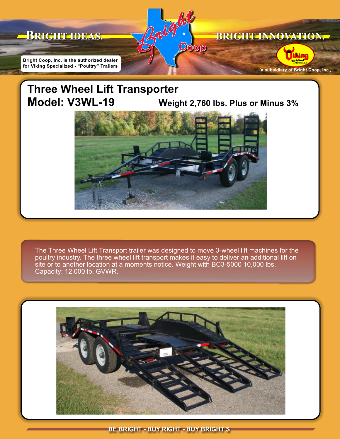

## **Three Wheel Lift Transporter Model: V3WL-19 Weight 2,760 lbs. Plus or Minus 3%**



The Three Wheel Lift Transport trailer was designed to move 3-wheel lift machines for the poultry industry. The three wheel lift transport makes it easy to deliver an additional lift on site or to another location at a moments notice. Weight with BC3-5000 10,000 lbs. Capacity: 12,000 lb. GVWR.



BE BRIGHT - BUY RIGHT - BUY BRIGHT'S